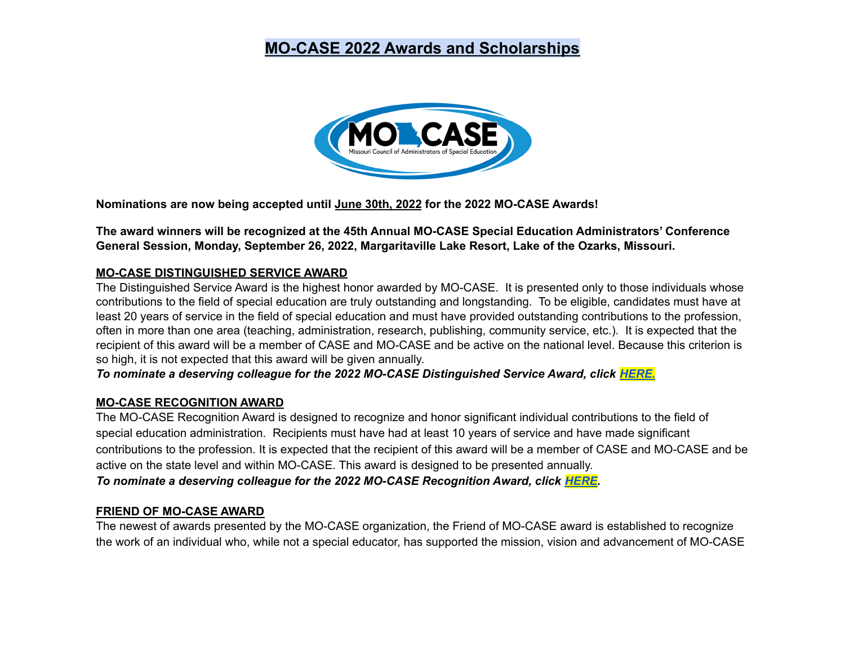# **MO-CASE 2022 Awards and Scholarships**



**Nominations are now being accepted until June 30th, 2022 for the 2022 MO-CASE Awards!**

**The award winners will be recognized at the 45th Annual MO-CASE Special Education Administrators' Conference General Session, Monday, September 26, 2022, Margaritaville Lake Resort, Lake of the Ozarks, Missouri.**

#### **MO-CASE DISTINGUISHED SERVICE AWARD**

The Distinguished Service Award is the highest honor awarded by MO-CASE. It is presented only to those individuals whose contributions to the field of special education are truly outstanding and longstanding. To be eligible, candidates must have at least 20 years of service in the field of special education and must have provided outstanding contributions to the profession, often in more than one area (teaching, administration, research, publishing, community service, etc.). It is expected that the recipient of this award will be a member of CASE and MO-CASE and be active on the national level. Because this criterion is so high, it is not expected that this award will be given annually.

*To nominate a deserving colleague for the 2022 MO-CASE Distinguished Service Award, click [HERE.](https://docs.google.com/forms/d/e/1FAIpQLSdpUBrvxolWOXVXNRGFL90HcNlLfWQ4EYTFye0r5HYK8MOQVA/viewform?usp=sf_link)*

#### **MO-CASE RECOGNITION AWARD**

The MO-CASE Recognition Award is designed to recognize and honor significant individual contributions to the field of special education administration. Recipients must have had at least 10 years of service and have made significant contributions to the profession. It is expected that the recipient of this award will be a member of CASE and MO-CASE and be active on the state level and within MO-CASE. This award is designed to be presented annually.

*To nominate a deserving colleague for the 2022 MO-CASE Recognition Award, click [HERE.](https://docs.google.com/forms/d/e/1FAIpQLSealR4xd6AID-jjnR_6qiVDM-xgOWLtwoX6r_WVn_wDBRo0hQ/viewform?usp=sf_link)*

#### **FRIEND OF MO-CASE AWARD**

The newest of awards presented by the MO-CASE organization, the Friend of MO-CASE award is established to recognize the work of an individual who, while not a special educator, has supported the mission, vision and advancement of MO-CASE